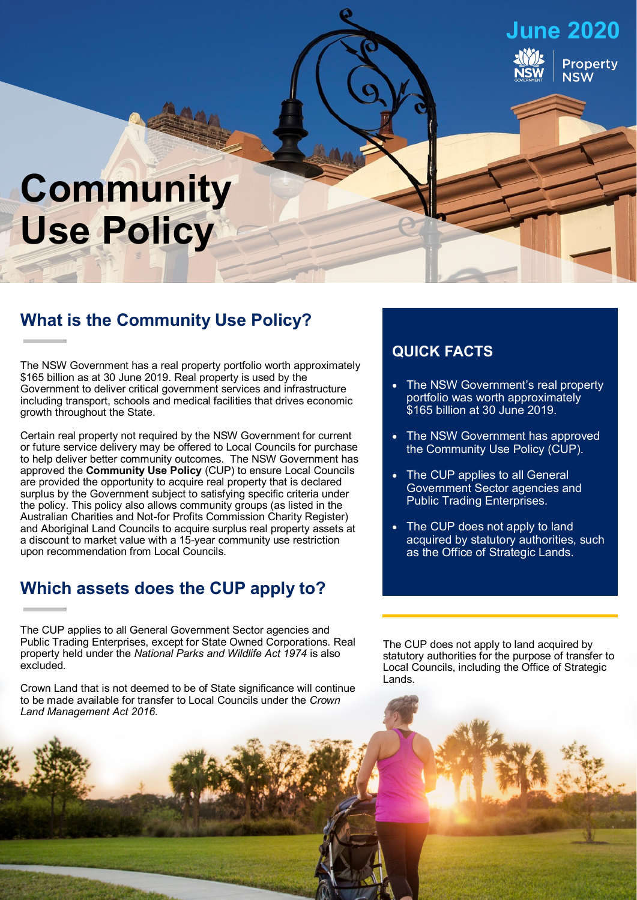# **Community Use Policy**

# **What is the Community Use Policy?**

The NSW Government has a real property portfolio worth approximately \$165 billion as at 30 June 2019. Real property is used by the Government to deliver critical government services and infrastructure including transport, schools and medical facilities that drives economic growth throughout the State.

Certain real property not required by the NSW Government for current or future service delivery may be offered to Local Councils for purchase to help deliver better community outcomes. The NSW Government has approved the **Community Use Policy** (CUP) to ensure Local Councils are provided the opportunity to acquire real property that is declared surplus by the Government subject to satisfying specific criteria under the policy. This policy also allows community groups (as listed in the Australian Charities and Not-for Profits Commission Charity Register) and Aboriginal Land Councils to acquire surplus real property assets at a discount to market value with a 15-year community use restriction upon recommendation from Local Councils.

## **Which assets does the CUP apply to?**

The CUP applies to all General Government Sector agencies and Public Trading Enterprises, except for State Owned Corporations. Real property held under the *National Parks and Wildlife Act 1974* is also excluded*.*

Crown Land that is not deemed to be of State significance will continue to be made available for transfer to Local Councils under the *Crown Land Management Act 2016*.

### **QUICK FACTS**

• The NSW Government's real property portfolio was worth approximately \$165 billion at 30 June 2019.

**June 2020**

**Property NSW** 

- The NSW Government has approved the Community Use Policy (CUP).
- The CUP applies to all General Government Sector agencies and Public Trading Enterprises.
- The CUP does not apply to land acquired by statutory authorities, such as the Office of Strategic Lands.

The CUP does not apply to land acquired by statutory authorities for the purpose of transfer to Local Councils, including the Office of Strategic Lands.